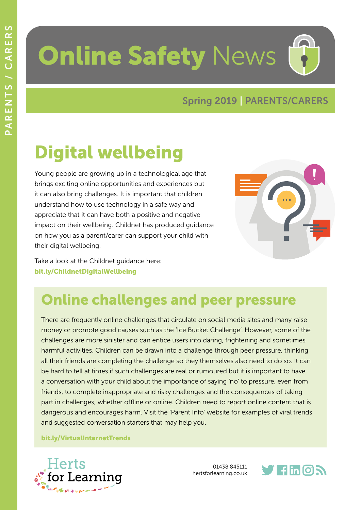# **Online Safety News**

#### Spring 2019 | PARENTS/CARERS

## Digital wellbeing

Young people are growing up in a technological age that brings exciting online opportunities and experiences but it can also bring challenges. It is important that children understand how to use technology in a safe way and appreciate that it can have both a positive and negative impact on their wellbeing. Childnet has produced guidance on how you as a parent/carer can support your child with their digital wellbeing.



Take a look at the Childnet guidance here: [bit.ly/ChildnetDigitalWellbeing](http://bit.ly/ChildnetDigitalWellbeing)

### Online challenges and peer pressure

There are frequently online challenges that circulate on social media sites and many raise money or promote good causes such as the 'Ice Bucket Challenge'. However, some of the challenges are more sinister and can entice users into daring, frightening and sometimes harmful activities. Children can be drawn into a challenge through peer pressure, thinking all their friends are completing the challenge so they themselves also need to do so. It can be hard to tell at times if such challenges are real or rumoured but it is important to have a conversation with your child about the importance of saying 'no' to pressure, even from friends, to complete inappropriate and risky challenges and the consequences of taking part in challenges, whether offline or online. Children need to report online content that is dangerous and encourages harm. Visit the 'Parent Info' website for examples of viral trends and suggested conversation starters that may help you.

#### [bit.ly/VirtualInternetTrends](http://bit.ly/VirtualInternetTrends)



01438 845111 hertsforlearning.co.uk

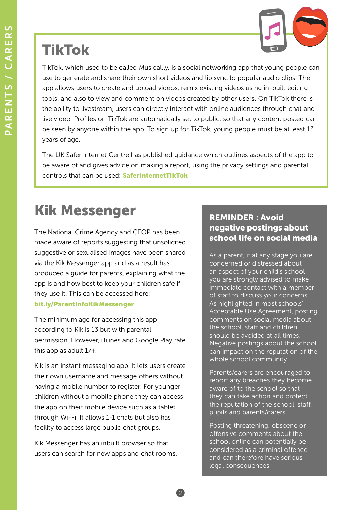#### TikTok

TikTok, which used to be called Musical.ly, is a social networking app that young people can use to generate and share their own short videos and lip sync to popular audio clips. The app allows users to create and upload videos, remix existing videos using in-built editing tools, and also to view and comment on videos created by other users. On TikTok there is the ability to livestream, users can directly interact with online audiences through chat and live video. Profiles on TikTok are automatically set to public, so that any content posted can be seen by anyone within the app. To sign up for TikTok, young people must be at least 13 years of age.

The UK Safer Internet Centre has published guidance which outlines aspects of the app to be aware of and gives advice on making a report, using the privacy settings and parental controls that can be used: [SaferInternetTikTok](https://www.saferinternet.org.uk/blog/what-tiktok-looking-latest-lip-syncing-app?mc_cid=954b555bc5&mc_eid=c9d0afdf8b)

2

#### Kik Messenger

The National Crime Agency and CEOP has been made aware of reports suggesting that unsolicited suggestive or sexualised images have been shared via the Kik Messenger app and as a result has produced a guide for parents, explaining what the app is and how best to keep your children safe if they use it. This can be accessed here: [bit.ly/ParentInfoKikMessenger](http://bit.ly/ParentInfoKikMessenger)

The minimum age for accessing this app according to Kik is 13 but with parental permission. However, iTunes and Google Play rate this app as adult 17+.

Kik is an instant messaging app. It lets users create their own username and message others without having a mobile number to register. For younger children without a mobile phone they can access the app on their mobile device such as a tablet through Wi-Fi. It allows 1-1 chats but also has facility to access large public chat groups.

Kik Messenger has an inbuilt browser so that users can search for new apps and chat rooms.

#### REMINDER : Avoid negative postings about school life on social media

As a parent, if at any stage you are concerned or distressed about an aspect of your child's school you are strongly advised to make immediate contact with a member of staff to discuss your concerns. As highlighted in most schools' Acceptable Use Agreement, posting comments on social media about the school, staff and children should be avoided at all times. Negative postings about the school can impact on the reputation of the whole school community.

Parents/carers are encouraged to report any breaches they become aware of to the school so that they can take action and protect the reputation of the school, staff, pupils and parents/carers.

Posting threatening, obscene or offensive comments about the school online can potentially be considered as a criminal offence and can therefore have serious legal consequences.